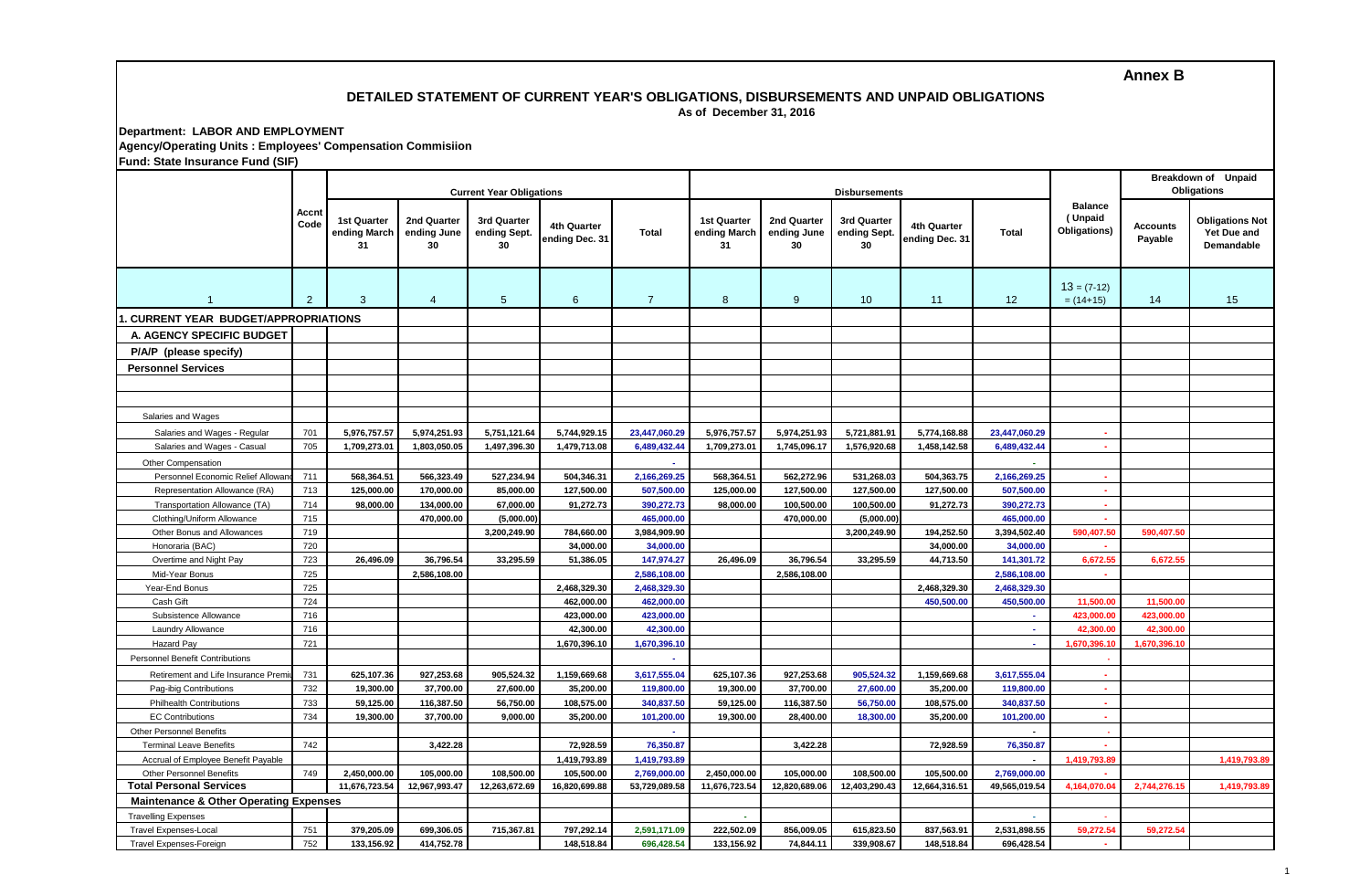**Annex B**

## **DETAILED STATEMENT OF CURRENT YEAR'S OBLIGATIONS, DISBURSEMENTS AND UNPAID OBLIGATIONS As of December 31, 2016**

**Department: LABOR AND EMPLOYMENT Agency/Operating Units : Employees' Compensation Commisiion**

| <b>Fund: State Insurance Fund (SIF)</b>                           |                |                                          |                                  |                                   |                               |                               |                                   |                                  |                                   |                               |                                           |                                           |                     |                                                     |
|-------------------------------------------------------------------|----------------|------------------------------------------|----------------------------------|-----------------------------------|-------------------------------|-------------------------------|-----------------------------------|----------------------------------|-----------------------------------|-------------------------------|-------------------------------------------|-------------------------------------------|---------------------|-----------------------------------------------------|
|                                                                   |                |                                          |                                  | <b>Current Year Obligations</b>   |                               |                               |                                   |                                  | <b>Disbursements</b>              |                               | <b>Breakdown of Unpaid</b><br>Obligations |                                           |                     |                                                     |
|                                                                   | Accnt<br>Code  | <b>1st Quarter</b><br>ending March<br>31 | 2nd Quarter<br>ending June<br>30 | 3rd Quarter<br>ending Sept.<br>30 | 4th Quarter<br>ending Dec. 31 | Total                         | 1st Quarter<br>ending March<br>31 | 2nd Quarter<br>ending June<br>30 | 3rd Quarter<br>ending Sept.<br>30 | 4th Quarter<br>ending Dec. 31 | <b>Total</b>                              | <b>Balance</b><br>(Unpaid<br>Obligations) | Accounts<br>Payable | <b>Obligations Not</b><br>Yet Due and<br>Demandable |
| $\overline{1}$                                                    | $\overline{2}$ | 3                                        | $\overline{4}$                   | $5\phantom{.0}$                   | 6                             | $\overline{7}$                | 8                                 | 9                                | 10                                | 11                            | 12                                        | $13 = (7-12)$<br>$= (14+15)$              | 14                  | 15                                                  |
| . CURRENT YEAR BUDGET/APPROPRIATIONS                              |                |                                          |                                  |                                   |                               |                               |                                   |                                  |                                   |                               |                                           |                                           |                     |                                                     |
| A. AGENCY SPECIFIC BUDGET                                         |                |                                          |                                  |                                   |                               |                               |                                   |                                  |                                   |                               |                                           |                                           |                     |                                                     |
| P/A/P (please specify)                                            |                |                                          |                                  |                                   |                               |                               |                                   |                                  |                                   |                               |                                           |                                           |                     |                                                     |
| <b>Personnel Services</b>                                         |                |                                          |                                  |                                   |                               |                               |                                   |                                  |                                   |                               |                                           |                                           |                     |                                                     |
|                                                                   |                |                                          |                                  |                                   |                               |                               |                                   |                                  |                                   |                               |                                           |                                           |                     |                                                     |
|                                                                   |                |                                          |                                  |                                   |                               |                               |                                   |                                  |                                   |                               |                                           |                                           |                     |                                                     |
|                                                                   |                |                                          |                                  |                                   |                               |                               |                                   |                                  |                                   |                               |                                           |                                           |                     |                                                     |
| Salaries and Wages                                                |                |                                          |                                  |                                   |                               |                               |                                   |                                  |                                   |                               |                                           |                                           |                     |                                                     |
| Salaries and Wages - Regular                                      | 701            | 5,976,757.57                             | 5,974,251.93                     | 5,751,121.64                      | 5,744,929.15                  | 23,447,060.29                 | 5,976,757.57                      | 5,974,251.93                     | 5,721,881.91                      | 5,774,168.88                  | 23,447,060.29                             | ×.                                        |                     |                                                     |
| Salaries and Wages - Casual                                       | 705            | 1,709,273.01                             | 1,803,050.05                     | 1,497,396.30                      | 1,479,713.08                  | 6,489,432.44                  | 1,709,273.01                      | 1,745,096.17                     | 1,576,920.68                      | 1,458,142.58                  | 6,489,432.44                              | $\mathbf{r}$                              |                     |                                                     |
| Other Compensation                                                |                |                                          |                                  |                                   |                               |                               |                                   |                                  |                                   |                               |                                           |                                           |                     |                                                     |
| Personnel Economic Relief Allowa                                  | 711            | 568,364.51                               | 566,323.49                       | 527,234.94                        | 504,346.31                    | 2,166,269.25                  | 568.364.51                        | 562,272.96                       | 531,268.03                        | 504,363.75                    | 2,166,269.25                              |                                           |                     |                                                     |
| Representation Allowance (RA)                                     | 713            | 125,000.00                               | 170,000.00                       | 85.000.00                         | 127,500.00                    | 507,500.00                    | 125,000.00                        | 127,500.00                       | 127,500.00                        | 127,500.00                    | 507.500.00                                | $\mathbf{r}$                              |                     |                                                     |
| Transportation Allowance (TA)                                     | 714            | 98,000.00                                | 134,000.00                       | 67,000.00                         | 91,272.73                     | 390,272.73                    | 98,000.00                         | 100,500.00                       | 100,500.00                        | 91,272.73                     | 390,272.73                                | ×.                                        |                     |                                                     |
| Clothing/Uniform Allowance                                        | 715            |                                          | 470,000.00                       | (5.000.00)                        |                               | 465,000.00                    |                                   | 470,000.00                       | (5,000.00)                        |                               | 465,000.00                                |                                           |                     |                                                     |
| Other Bonus and Allowances                                        | 719            |                                          |                                  | 3,200,249.90                      | 784,660.00                    | 3,984,909.90                  |                                   |                                  | 3,200,249.90                      | 194,252.50                    | 3,394,502.40                              | 590,407.50                                | 590,407.50          |                                                     |
| Honoraria (BAC)                                                   | 720            |                                          |                                  |                                   | 34,000.00                     | 34,000.00                     |                                   |                                  |                                   | 34,000.00                     | 34,000.00                                 |                                           |                     |                                                     |
| Overtime and Night Pay                                            | 723            | 26,496.09                                | 36,796.54                        | 33,295.59                         | 51,386.05                     | 147,974.27                    | 26,496.09                         | 36,796.54                        | 33,295.59                         | 44,713.50                     | 141,301.72                                | 6,672.5                                   | 6,672.55            |                                                     |
| Mid-Year Bonus                                                    | 725            |                                          | 2,586,108.00                     |                                   |                               | 2,586,108.00                  |                                   | 2,586,108.00                     |                                   |                               | 2,586,108.00                              |                                           |                     |                                                     |
| Year-End Bonus                                                    | 725            |                                          |                                  |                                   | 2,468,329.30                  | 2,468,329.30                  |                                   |                                  |                                   | 2,468,329.30                  | 2,468,329.30                              |                                           |                     |                                                     |
| Cash Gift                                                         | 724            |                                          |                                  |                                   | 462,000.00                    | 462,000.00                    |                                   |                                  |                                   | 450,500.00                    | 450,500.00                                | 11,500.00                                 | 11,500.00           |                                                     |
| Subsistence Allowance                                             | 716            |                                          |                                  |                                   | 423,000.00                    | 423,000.00                    |                                   |                                  |                                   |                               |                                           | 423,000.00                                | 423,000.00          |                                                     |
| Laundry Allowance                                                 | 716            |                                          |                                  |                                   | 42,300.00                     | 42,300.00                     |                                   |                                  |                                   |                               | $\sim$                                    | 42,300.00                                 | 42,300.00           |                                                     |
| <b>Hazard Pay</b>                                                 | 721            |                                          |                                  |                                   | 1,670,396.10                  | 1,670,396.10                  |                                   |                                  |                                   |                               | $\sim$                                    | 1,670,396.10                              | 1,670,396.10        |                                                     |
| Personnel Benefit Contributions                                   |                |                                          |                                  |                                   |                               |                               |                                   |                                  |                                   |                               |                                           |                                           |                     |                                                     |
| Retirement and Life Insurance Prem                                | 731            | 625,107.36                               | 927,253.68                       | 905,524.32                        | 1,159,669.68                  | 3,617,555.04                  | 625,107.36                        | 927,253.68                       | 905,524.32                        | 1,159,669.68                  | 3,617,555.04                              | ×.                                        |                     |                                                     |
| Pag-ibig Contributions                                            | 732            | 19,300.00                                | 37,700.00                        | 27,600.00                         | 35,200.00                     | 119,800.00                    | 19,300.00                         | 37,700.00                        | 27,600.00                         | 35,200.00                     | 119,800.00                                | $\mathbf{r}$                              |                     |                                                     |
| <b>Philhealth Contributions</b>                                   | 733            | 59,125.00                                | 116,387.50                       | 56,750.00                         | 108,575.00                    | 340,837.50                    | 59,125.00                         | 116,387.50                       | 56,750.00                         | 108,575.00                    | 340,837.50                                | 44                                        |                     |                                                     |
| <b>EC Contributions</b>                                           | 734            | 19,300.00                                | 37,700.00                        | 9,000.00                          | 35,200.00                     | 101,200.00                    | 19,300.00                         | 28,400.00                        | 18,300.00                         | 35,200.00                     | 101,200.00                                | A.                                        |                     |                                                     |
| <b>Other Personnel Benefits</b>                                   |                |                                          |                                  |                                   |                               | $\sim$                        |                                   |                                  |                                   |                               |                                           |                                           |                     |                                                     |
| <b>Terminal Leave Benefits</b>                                    | 742            |                                          | 3,422.28                         |                                   | 72,928.59                     | 76,350.87                     |                                   | 3,422.28                         |                                   | 72,928.59                     | 76,350.87                                 |                                           |                     |                                                     |
| Accrual of Employee Benefit Payable                               |                |                                          |                                  |                                   | 1,419,793.89                  | 1,419,793.89                  |                                   |                                  |                                   |                               |                                           | 1,419,793.89                              |                     | 1,419,793.89                                        |
| <b>Other Personnel Benefits</b><br><b>Total Personal Services</b> | 749            | 2,450,000.00<br>11,676,723.54            | 105,000.00<br>12,967,993.47      | 108,500.00<br>12,263,672.69       | 105,500.00<br>16,820,699.88   | 2,769,000.00<br>53,729,089.58 | 2,450,000.00<br>11,676,723.54     | 105,000.00<br>12,820,689.06      | 108,500.00<br>12,403,290.43       | 105,500.00<br>12,664,316.51   | 2,769,000.00<br>49,565,019.54             | 4,164,070.04                              | 2,744,276.15        | 1,419,793.89                                        |
| <b>Maintenance &amp; Other Operating Expenses</b>                 |                |                                          |                                  |                                   |                               |                               |                                   |                                  |                                   |                               |                                           |                                           |                     |                                                     |
|                                                                   |                |                                          |                                  |                                   |                               |                               |                                   |                                  |                                   |                               |                                           |                                           |                     |                                                     |
| <b>Travelling Expenses</b><br><b>Travel Expenses-Local</b>        | 751            | 379,205.09                               | 699,306.05                       | 715,367.81                        | 797,292.14                    | 2,591,171.09                  | 222,502.09                        | 856,009.05                       | 615,823.50                        | 837,563.91                    | 2,531,898.55                              | 59,272.54                                 | 59,272.5            |                                                     |
| <b>Travel Expenses-Foreign</b>                                    | 752            | 133,156.92                               | 414,752.78                       |                                   | 148,518.84                    | 696,428.54                    | 133,156.92                        | 74,844.11                        | 339,908.67                        | 148,518.84                    | 696,428.54                                |                                           |                     |                                                     |
|                                                                   |                |                                          |                                  |                                   |                               |                               |                                   |                                  |                                   |                               |                                           |                                           |                     |                                                     |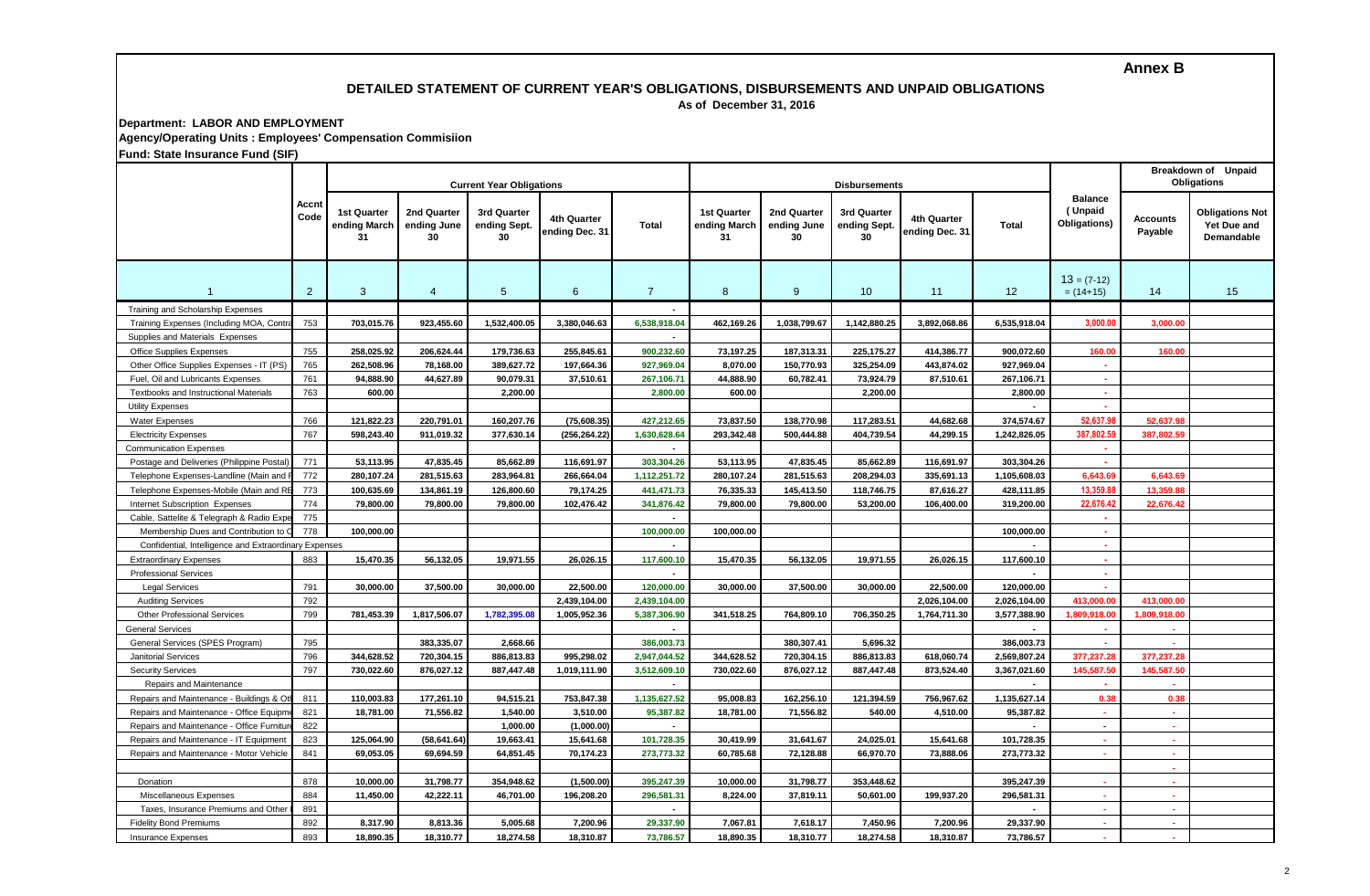# **Annex B**

#### **DETAILED STATEMENT OF CURRENT YEAR'S OBLIGATIONS, DISBURSEMENTS AND UNPAID OBLIGATIONS As of December 31, 2016**

**Department: LABOR AND EMPLOYMENT**

**Agency/Operating Units : Employees' Compensation Commisiion**

**Fund: State Insurance Fund (SIF)**

| driu. State msurance Fund (Sir                        |                |                                          |                                  | <b>Current Year Obligations</b>   |                               |                |                                          |                                  | <b>Disbursements</b>              |                               | <b>Breakdown of Unpaid</b><br><b>Obligations</b> |                                           |                            |                                                     |
|-------------------------------------------------------|----------------|------------------------------------------|----------------------------------|-----------------------------------|-------------------------------|----------------|------------------------------------------|----------------------------------|-----------------------------------|-------------------------------|--------------------------------------------------|-------------------------------------------|----------------------------|-----------------------------------------------------|
|                                                       | Accnt<br>Code  | <b>1st Quarter</b><br>ending March<br>31 | 2nd Quarter<br>ending June<br>30 | 3rd Quarter<br>ending Sept.<br>30 | 4th Quarter<br>ending Dec. 31 | Total          | <b>1st Quarter</b><br>ending March<br>31 | 2nd Quarter<br>ending June<br>30 | 3rd Quarter<br>ending Sept.<br>30 | 4th Quarter<br>ending Dec. 31 | <b>Total</b>                                     | <b>Balance</b><br>(Unpaid<br>Obligations) | <b>Accounts</b><br>Payable | <b>Obligations Not</b><br>Yet Due and<br>Demandable |
|                                                       | $\overline{2}$ | 3                                        | $\overline{4}$                   | 5 <sup>5</sup>                    | 6                             | $\overline{7}$ | 8                                        | 9                                | 10                                | 11                            | 12                                               | $13 = (7-12)$<br>$= (14+15)$              | 14                         | 15                                                  |
| Training and Scholarship Expenses                     |                |                                          |                                  |                                   |                               |                |                                          |                                  |                                   |                               |                                                  |                                           |                            |                                                     |
| Training Expenses (Including MOA, Contr               | 753            | 703,015.76                               | 923,455.60                       | 1,532,400.05                      | 3,380,046.63                  | 6,538,918.04   | 462,169.26                               | 1,038,799.67                     | 1,142,880.25                      | 3,892,068.86                  | 6,535,918.04                                     | 3,000.0                                   | 3.000.00                   |                                                     |
| Supplies and Materials Expenses                       |                |                                          |                                  |                                   |                               |                |                                          |                                  |                                   |                               |                                                  |                                           |                            |                                                     |
| Office Supplies Expenses                              | 755            | 258,025.92                               | 206,624.44                       | 179,736.63                        | 255,845.61                    | 900,232.60     | 73,197.25                                | 187,313.31                       | 225,175.27                        | 414,386.77                    | 900,072.60                                       | 160.00                                    | 160.00                     |                                                     |
| Other Office Supplies Expenses - IT (PS)              | 765            | 262,508.96                               | 78,168.00                        | 389,627.72                        | 197,664.36                    | 927,969.04     | 8,070.00                                 | 150,770.93                       | 325,254.09                        | 443,874.02                    | 927,969.04                                       | ×.                                        |                            |                                                     |
| Fuel, Oil and Lubricants Expenses                     | 761            | 94,888.90                                | 44,627.89                        | 90,079.31                         | 37,510.61                     | 267,106.71     | 44,888.90                                | 60,782.41                        | 73,924.79                         | 87,510.61                     | 267,106.71                                       | ×.                                        |                            |                                                     |
| <b>Textbooks and Instructional Materials</b>          | 763            | 600.00                                   |                                  | 2,200.00                          |                               | 2,800.00       | 600.00                                   |                                  | 2,200.00                          |                               | 2,800.00                                         | ×.                                        |                            |                                                     |
| <b>Utility Expenses</b>                               |                |                                          |                                  |                                   |                               |                |                                          |                                  |                                   |                               |                                                  |                                           |                            |                                                     |
| <b>Water Expenses</b>                                 | 766            | 121,822.23                               | 220,791.01                       | 160,207.76                        | (75, 608.35)                  | 427,212.65     | 73,837.50                                | 138,770.98                       | 117,283.51                        | 44,682.68                     | 374,574.67                                       | 52.637.9                                  | 52,637.9                   |                                                     |
| <b>Electricity Expenses</b>                           | 767            | 598,243.40                               | 911,019.32                       | 377,630.14                        | (256.264.22                   | 1,630,628.64   | 293.342.48                               | 500.444.88                       | 404,739.54                        | 44.299.15                     | 1,242,826.05                                     | 387.802.5                                 | 387,802.59                 |                                                     |
| <b>Communication Expenses</b>                         |                |                                          |                                  |                                   |                               |                |                                          |                                  |                                   |                               |                                                  |                                           |                            |                                                     |
| Postage and Deliveries (Philippine Posta              | 771            | 53,113.95                                | 47,835.45                        | 85,662.89                         | 116,691.97                    | 303,304.26     | 53.113.95                                | 47,835.45                        | 85,662.89                         | 116,691.97                    | 303.304.26                                       |                                           |                            |                                                     |
| Telephone Expenses-Landline (Main and                 | 772            | 280.107.24                               | 281,515.63                       | 283.964.81                        | 266,664.04                    | 1,112,251.72   | 280,107.24                               | 281,515.63                       | 208,294.03                        | 335,691.13                    | 1.105.608.03                                     | 6.643.6                                   | 6.643.69                   |                                                     |
| Telephone Expenses-Mobile (Main and F                 | 773            | 100,635.69                               | 134,861.19                       | 126,800.60                        | 79,174.25                     | 441,471.73     | 76,335.33                                | 145,413.50                       | 118,746.75                        | 87,616.27                     | 428,111.85                                       | 13,359.8                                  | 13,359.8                   |                                                     |
| Internet Subscription Expenses                        | 774            | 79,800.00                                | 79,800.00                        | 79,800.00                         | 102,476.42                    | 341,876.42     | 79,800.00                                | 79,800.00                        | 53,200.00                         | 106,400.00                    | 319,200.00                                       | 22,676.4                                  | 22,676.42                  |                                                     |
| Cable, Sattelite & Telegraph & Radio Expe             | 775            |                                          |                                  |                                   |                               |                |                                          |                                  |                                   |                               |                                                  |                                           |                            |                                                     |
| Membership Dues and Contribution to                   | 778            | 100,000.00                               |                                  |                                   |                               | 100,000.00     | 100,000.00                               |                                  |                                   |                               | 100,000.00                                       |                                           |                            |                                                     |
| Confidential, Intelligence and Extraordinary Expenses |                |                                          |                                  |                                   |                               |                |                                          |                                  |                                   |                               |                                                  | ×.                                        |                            |                                                     |
| <b>Extraordinary Expenses</b>                         | 883            | 15,470.35                                | 56,132.05                        | 19,971.55                         | 26,026.15                     | 117,600.10     | 15,470.35                                | 56,132.05                        | 19,971.55                         | 26,026.15                     | 117,600.10                                       |                                           |                            |                                                     |
| <b>Professional Services</b>                          |                |                                          |                                  |                                   |                               | ٠              |                                          |                                  |                                   |                               |                                                  | ж.                                        |                            |                                                     |
| <b>Legal Services</b>                                 | 791            | 30,000.00                                | 37,500.00                        | 30,000.00                         | 22,500.00                     | 120,000.00     | 30,000.00                                | 37,500.00                        | 30,000.00                         | 22,500.00                     | 120,000.00                                       |                                           |                            |                                                     |
| <b>Auditing Services</b>                              | 792            |                                          |                                  |                                   | 2,439,104.00                  | 2,439,104.00   |                                          |                                  |                                   | 2,026,104.00                  | 2,026,104.00                                     | 413,000.00                                | 413,000.00                 |                                                     |
| <b>Other Professional Services</b>                    | 799            | 781,453.39                               | 1,817,506.07                     | 1,782,395.08                      | 1,005,952.36                  | 5,387,306.90   | 341,518.25                               | 764,809.10                       | 706,350.25                        | 1,764,711.30                  | 3,577,388.90                                     | 1,809,918.00                              | 1,809,918.00               |                                                     |
| General Services                                      |                |                                          |                                  |                                   |                               | $\overline{a}$ |                                          |                                  |                                   |                               |                                                  |                                           | ×.                         |                                                     |
| General Services (SPES Program)                       | 795            |                                          | 383,335.07                       | 2.668.66                          |                               | 386,003.73     |                                          | 380,307.41                       | 5,696.32                          |                               | 386,003.73                                       |                                           |                            |                                                     |
| <b>Janitorial Services</b>                            | 796            | 344,628.52                               | 720,304.15                       | 886,813.83                        | 995.298.02                    | 2,947,044.52   | 344.628.52                               | 720,304.15                       | 886,813.83                        | 618,060.74                    | 2,569,807.24                                     | 377,237.28                                | 377.237.28                 |                                                     |
| <b>Security Services</b>                              | 797            | 730,022.60                               | 876,027.12                       | 887,447.48                        | 1,019,111.90                  | 3,512,609.10   | 730,022.60                               | 876,027.12                       | 887,447.48                        | 873,524.40                    | 3,367,021.60                                     | 145,587.50                                | 145,587,50                 |                                                     |
| Repairs and Maintenance                               |                |                                          |                                  |                                   |                               |                |                                          |                                  |                                   |                               |                                                  |                                           |                            |                                                     |
| Repairs and Maintenance - Buildings & C               | 811            | 110,003.83                               | 177,261.10                       | 94,515.21                         | 753,847.38                    | 1,135,627.52   | 95,008.83                                | 162,256.10                       | 121,394.59                        | 756,967.62                    | 1,135,627.14                                     | 0.38                                      | 0.38                       |                                                     |
| Repairs and Maintenance - Office Equipn               | 821            | 18,781.00                                | 71,556.82                        | 1,540.00                          | 3,510.00                      | 95,387.82      | 18,781.00                                | 71,556.82                        | 540.00                            | 4,510.00                      | 95,387.82                                        | ×                                         | $\sim$                     |                                                     |
| Repairs and Maintenance - Office Furnitu              | 822            |                                          |                                  | 1,000.00                          | (1,000.00)                    | $\mathbf{r}$   |                                          |                                  |                                   |                               |                                                  | $\omega$                                  | $\sim$                     |                                                     |
| Repairs and Maintenance - IT Equipment                | 823            | 125,064.90                               | (58, 641.64)                     | 19,663.41                         | 15,641.68                     | 101,728.35     | 30,419.99                                | 31,641.67                        | 24,025.01                         | 15,641.68                     | 101,728.35                                       | $\sim$                                    | $\sim$                     |                                                     |
| Repairs and Maintenance - Motor Vehicle               | 841            | 69,053.05                                | 69,694.59                        | 64,851.45                         | 70,174.23                     | 273,773.32     | 60,785.68                                | 72,128.88                        | 66,970.70                         | 73,888.06                     | 273,773.32                                       | $\sim$                                    | $\sim$                     |                                                     |
|                                                       |                |                                          |                                  |                                   |                               |                |                                          |                                  |                                   |                               |                                                  |                                           | $\sim$                     |                                                     |
| Donation                                              | 878            | 10,000.00                                | 31,798.77                        | 354,948.62                        | (1,500.00)                    | 395,247.39     | 10,000.00                                | 31,798.77                        | 353,448.62                        |                               | 395,247.39                                       | $\sim$                                    | a.                         |                                                     |
| Miscellaneous Expenses                                | 884            | 11,450.00                                | 42,222.11                        | 46,701.00                         | 196,208.20                    | 296,581.31     | 8,224.00                                 | 37,819.11                        | 50,601.00                         | 199,937.20                    | 296,581.31                                       | $\sim$                                    | х.                         |                                                     |
| Taxes, Insurance Premiums and Othe                    | 891            |                                          |                                  |                                   |                               |                |                                          |                                  |                                   |                               |                                                  | $\sim$                                    | $\sim$                     |                                                     |
| <b>Fidelity Bond Premiums</b>                         | 892            | 8,317.90                                 | 8,813.36                         | 5,005.68                          | 7,200.96                      | 29,337.90      | 7,067.81                                 | 7,618.17                         | 7,450.96                          | 7,200.96                      | 29,337.90                                        | $\sim$                                    | $\sim$                     |                                                     |
| <b>Insurance Expenses</b>                             | 893            | 18,890.35                                | 18.310.77                        | 18,274.58                         | 18,310.87                     | 73,786.57      | 18,890.35                                | 18,310.77                        | 18,274.58                         | 18,310.87                     | 73,786.57                                        | $\sim$                                    | $\sim$                     |                                                     |